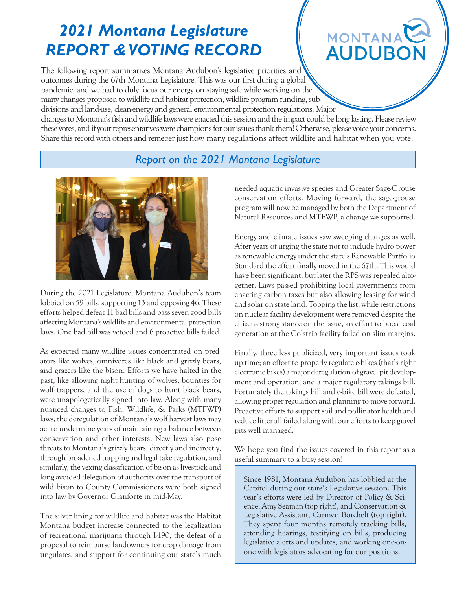# *2021 Montana Legislature REPORT & VOTING RECORD*

# **MONTANA AUDUB**

The following report summarizes Montana Audubon's legislative priorities and outcomes during the 67th Montana Legislature. This was our first during a global pandemic, and we had to duly focus our energy on staying safe while working on the many changes proposed to wildlife and habitat protection, wildlife program funding, subdivisions and land-use, clean-energy and general environmental protection regulations. Major

changes to Montana's fish and wildlife laws were enacted this session and the impact could be long lasting. Please review these votes, and if your representatives were champions for our issues thank them! Otherwise, please voice your concerns. Share this record with others and remeber just how many regulations affect wildlife and habitat when you vote.

### *Report on the 2021 Montana Legislature*



During the 2021 Legislature, Montana Audubon's team lobbied on 59 bills, supporting 13 and opposing 46. These efforts helped defeat 11 bad bills and pass seven good bills affecting Montana's wildlife and environmental protection laws. One bad bill was vetoed and 6 proactive bills failed.

As expected many wildlife issues concentrated on predators like wolves, omnivores like black and grizzly bears, and grazers like the bison. Efforts we have halted in the past, like allowing night hunting of wolves, bounties for wolf trappers, and the use of dogs to hunt black bears, were unapologetically signed into law. Along with many nuanced changes to Fish, Wildlife, & Parks (MTFWP) laws, the deregulation of Montana's wolf harvest laws may act to undermine years of maintaining a balance between conservation and other interests. New laws also pose threats to Montana's grizzly bears, directly and indirectly, through broadened trapping and legal take regulation, and similarly, the vexing classification of bison as livestock and long avoided delegation of authority over the transport of wild bison to County Commissioners were both signed into law by Governor Gianforte in mid-May.

The silver lining for wildlife and habitat was the Habitat Montana budget increase connected to the legalization of recreational marijuana through I-190, the defeat of a proposal to reimburse landowners for crop damage from ungulates, and support for continuing our state's much needed aquatic invasive species and Greater Sage-Grouse conservation efforts. Moving forward, the sage-grouse program will now be managed by both the Department of Natural Resources and MTFWP, a change we supported.

Energy and climate issues saw sweeping changes as well. After years of urging the state not to include hydro power as renewable energy under the state's Renewable Portfolio Standard the effort finally moved in the 67th. This would have been significant, but later the RPS was repealed altogether. Laws passed prohibiting local governments from enacting carbon taxes but also allowing leasing for wind and solar on state land. Topping the list, while restrictions on nuclear facility development were removed despite the citizens strong stance on the issue, an effort to boost coal generation at the Colstrip facility failed on slim margins.

Finally, three less publicized, very important issues took up time; an effort to properly regulate e-bikes (that's right electronic bikes) a major deregulation of gravel pit development and operation, and a major regulatory takings bill. Fortunately the takings bill and e-bike bill were defeated, allowing proper regulation and planning to move forward. Proactive efforts to support soil and pollinator health and reduce litter all failed along with our efforts to keep gravel pits well managed.

We hope you find the issues covered in this report as a useful summary to a busy session!

Since 1981, Montana Audubon has lobbied at the Capitol during our state's Legislative session. This year's efforts were led by Director of Policy & Science, Amy Seaman (top right), and Conservation & Legislative Assistant, Carmen Borchelt (top right). They spent four months remotely tracking bills, attending hearings, testifying on bills, producing legislative alerts and updates, and working one-onone with legislators advocating for our positions.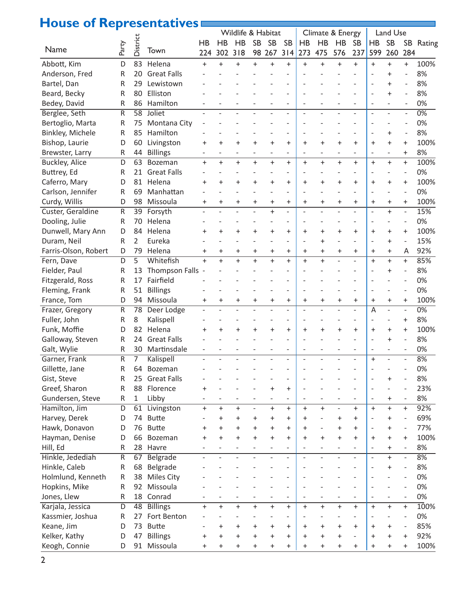## **House of Representatives**

| <b>Replaced Line</b> |                         | $\bullet$      | Chitative          |                          |           | Wildlife & Habitat |                          |           |                          |           |           | Climate & Energy             |                          | Land Use                         |                          |                                                      |                  |
|----------------------|-------------------------|----------------|--------------------|--------------------------|-----------|--------------------|--------------------------|-----------|--------------------------|-----------|-----------|------------------------------|--------------------------|----------------------------------|--------------------------|------------------------------------------------------|------------------|
|                      |                         |                |                    | HB                       | <b>HB</b> | <b>HB</b>          | <b>SB</b>                | <b>SB</b> | <b>SB</b>                | HB        | HB        | HB                           | <b>SB</b>                | HB                               | <b>SB</b>                |                                                      | SB Rating        |
| Name                 | Party                   | District       | Town               | 224                      | 302       | 318                |                          | 98 267    | 314                      | 273       | 475       | 576                          | 237                      | 599                              | 260                      | 284                                                  |                  |
| Abbott, Kim          | D                       | 83             | Helena             | $\ddot{}$                | $\ddot{}$ | $\ddot{}$          | $\ddot{}$                | $\ddot{}$ | $\ddot{}$                | $\ddot{}$ | $\ddot{}$ | $\ddot{}$                    | $\ddot{}$                | $+$                              | $^{+}$                   | $+$                                                  | 100%             |
| Anderson, Fred       | R                       | 20             | <b>Great Falls</b> |                          |           |                    |                          |           |                          |           |           |                              |                          |                                  | $\overline{+}$           |                                                      | 8%               |
| Bartel, Dan          | R                       | 29             | Lewistown          |                          |           |                    |                          |           |                          |           |           |                              |                          |                                  | $\ddot{}$                |                                                      | 8%               |
|                      |                         |                | Elliston           |                          |           |                    |                          |           |                          |           |           |                              |                          |                                  | $\ddot{}$                |                                                      | 8%               |
| Beard, Becky         | R                       | 80             | Hamilton           |                          |           |                    |                          |           |                          |           |           |                              |                          |                                  |                          |                                                      | 0%               |
| Bedey, David         | R                       | 86<br>58       | Joliet             |                          |           |                    |                          |           | $\overline{a}$           |           |           |                              | $\overline{a}$           | $\overline{a}$<br>$\overline{a}$ | $\overline{\phantom{0}}$ | $\overline{\phantom{a}}$<br>$\overline{\phantom{a}}$ | $\overline{0\%}$ |
| Berglee, Seth        | R                       |                |                    |                          |           |                    |                          |           |                          |           |           |                              |                          |                                  |                          |                                                      |                  |
| Bertoglio, Marta     | R                       | 75             | Montana City       |                          |           |                    |                          |           |                          |           |           |                              |                          |                                  |                          |                                                      | 0%               |
| Binkley, Michele     | R                       | 85             | Hamilton           |                          |           |                    |                          |           |                          |           |           |                              |                          |                                  | $\ddot{}$                | $\overline{\phantom{a}}$                             | 8%               |
| Bishop, Laurie       | D                       | 60             | Livingston         | +                        | $\ddot{}$ | $\ddot{}$          | $\ddot{}$                | $\ddot{}$ | $\ddot{}$                | $\pm$     | $\ddot{}$ | $\ddot{}$                    | $\ddot{}$                | $\ddot{}$                        | $\ddot{}$                | $\ddot{}$                                            | 100%             |
| Brewster, Larry      | R                       | 44             | <b>Billings</b>    | $\overline{\phantom{a}}$ |           |                    | $\overline{\phantom{a}}$ |           | $\overline{\phantom{a}}$ |           |           | $\qquad \qquad \blacksquare$ |                          | $\qquad \qquad \blacksquare$     |                          | $\ddot{}$                                            | 8%               |
| Buckley, Alice       | D                       | 63             | Bozeman            | $\ddot{}$                | $+$       | $+$                | $+$                      | $+$       | $\ddot{}$                | $+$       | $+$       | $+$                          | $+$                      | $+$                              | $^{+}$                   | $\ddot{}$                                            | 100%             |
| Buttrey, Ed          | R                       | 21             | <b>Great Falls</b> |                          |           |                    |                          |           |                          |           |           |                              |                          |                                  |                          | $\overline{a}$                                       | 0%               |
| Caferro, Mary        | D                       | 81             | Helena             | $\ddot{}$                | $\ddot{}$ | $\ddot{}$          | $\ddot{}$                | $\ddot{}$ | $\ddot{}$                | $\ddot{}$ | $+$       | $\ddot{}$                    | $\ddot{}$                | $\ddot{}$                        | $\ddot{}$                | $\ddot{}$                                            | 100%             |
| Carlson, Jennifer    | R                       | 69             | Manhattan          |                          |           |                    |                          |           | $\overline{a}$           |           |           |                              | $\overline{\phantom{a}}$ | $\overline{a}$                   |                          | $\overline{a}$                                       | 0%               |
| Curdy, Willis        | D                       | 98             | Missoula           | $\pm$                    | $\ddot{}$ | $\ddot{}$          | $\ddot{}$                | $\ddot{}$ | $\ddot{}$                | $\ddot{}$ | $\ddot{}$ | $\ddot{}$                    | $\ddot{}$                | $\ddot{}$                        | $\ddot{}$                | $\ddot{}$                                            | 100%             |
| Custer, Geraldine    | R                       | 39             | Forsyth            |                          |           |                    |                          |           |                          |           |           |                              |                          | $\overline{a}$                   | $\ddot{}$                | $\overline{\phantom{0}}$                             | 15%              |
| Dooling, Julie       | R                       | 70             | Helena             |                          |           |                    |                          |           |                          |           |           |                              |                          | $\overline{a}$                   |                          |                                                      | 0%               |
| Dunwell, Mary Ann    | D                       | 84             | Helena             | $\ddot{}$                | $\ddot{}$ | $\ddot{}$          | $\ddot{}$                | $\ddot{}$ | $\ddot{}$                | $\ddot{}$ | $\ddot{}$ | $\ddot{}$                    | $\ddot{}$                | $\ddot{}$                        | $\ddot{}$                | $\ddot{}$                                            | 100%             |
| Duram, Neil          | R                       | 2              | Eureka             |                          |           |                    |                          |           | $\overline{a}$           |           | $\ddot{}$ |                              |                          | $\overline{a}$                   | $\ddot{}$                | $\overline{a}$                                       | 15%              |
| Farris-Olson, Robert | D                       | 79             | Helena             | +                        | $\ddot{}$ | $\ddot{}$          | $\ddot{}$                | $\ddot{}$ | $\ddot{}$                | $\ddot{}$ | $\ddot{}$ | $\ddot{}$                    | $\ddot{}$                | $\ddot{}$                        | $\ddot{}$                | Α                                                    | 92%              |
| Fern, Dave           | D                       | $\overline{5}$ | Whitefish          | $+$                      | $\ddot{}$ | $\ddot{}$          | $\ddot{}$                | $+$       | $\ddot{}$                | $\ddot{}$ | $+$       | $\overline{a}$               | $\overline{a}$           | $\ddot{}$                        | $\ddot{}$                | $\ddot{}$                                            | 85%              |
| Fielder, Paul        | R                       | 13             | Thompson Falls -   |                          |           |                    |                          |           |                          |           |           |                              |                          |                                  | $\ddot{}$                |                                                      | 8%               |
| Fitzgerald, Ross     | R                       | 17             | Fairfield          |                          |           |                    |                          |           |                          |           |           |                              |                          |                                  |                          |                                                      | 0%               |
| Fleming, Frank       | R                       | 51             | <b>Billings</b>    |                          |           |                    |                          |           |                          |           |           |                              |                          |                                  |                          | $\overline{a}$                                       | 0%               |
| France, Tom          | D                       | 94             | Missoula           | $\ddot{}$                | $\pmb{+}$ | $\ddot{}$          | $\ddot{}$                | $\ddot{}$ | $\ddot{}$                | $\ddot{}$ | $\ddot{}$ | $\ddot{}$                    | $\ddot{}$                | $\ddot{}$                        | $\ddot{}$                | $\ddot{}$                                            | 100%             |
| Frazer, Gregory      | R                       | 78             | Deer Lodge         |                          |           |                    |                          |           |                          |           |           |                              |                          | A                                | $\overline{a}$           | $\overline{\phantom{0}}$                             | $\overline{0\%}$ |
| Fuller, John         | R                       | 8              | Kalispell          |                          |           |                    |                          |           |                          |           |           |                              |                          |                                  |                          | $\ddot{}$                                            | 8%               |
| Funk, Moffie         | D                       | 82             | Helena             | +                        | $\ddot{}$ | $\ddot{}$          | $\ddot{}$                | $\ddot{}$ | $\ddot{}$                | $\ddot{}$ | $+$       | $\ddot{}$                    | $\ddot{}$                | $\ddot{}$                        | $\ddot{}$                | $\ddot{}$                                            | 100%             |
| Galloway, Steven     | R                       | 24             | <b>Great Falls</b> |                          |           |                    |                          |           |                          |           |           |                              |                          |                                  | $\ddot{}$                |                                                      | 8%               |
| Galt, Wylie          | R                       | 30             | Martinsdale        |                          |           |                    |                          |           |                          |           |           |                              |                          |                                  |                          |                                                      | 0%               |
| Garner, Frank        | $\overline{\mathsf{R}}$ | 7              | Kalispell          |                          |           |                    |                          |           |                          |           |           |                              |                          | $\ddot{}$                        |                          |                                                      | 8%               |
| Gillette, Jane       | R                       | 64             | Bozeman            |                          |           |                    |                          |           |                          |           |           |                              |                          |                                  |                          |                                                      | 0%               |
| Gist, Steve          | R                       | 25             | <b>Great Falls</b> |                          |           |                    |                          |           |                          |           |           |                              |                          |                                  | $\pmb{+}$                |                                                      | 8%               |
| Greef, Sharon        | R                       | 88             | Florence           | $\ddot{}$                |           |                    |                          | $\ddot{}$ | $\ddot{}$                |           |           |                              |                          |                                  |                          | ÷                                                    | 23%              |
| Gundersen, Steve     | R                       | $\mathbf{1}$   | Libby              |                          |           |                    | $\overline{\phantom{a}}$ |           | $\overline{\phantom{0}}$ |           |           |                              | $\overline{\phantom{0}}$ | $\overline{a}$                   | $\ddot{}$                | $\overline{\phantom{m}}$                             | 8%               |
| Hamilton, Jim        | D                       | 61             | Livingston         | $\overline{+}$           | $\ddot{}$ | $\ddot{}$          | $\frac{1}{2}$            | $+$       | $\ddot{}$                | $+$       | $+$       | $\overline{a}$               | $\ddot{}$                | $+$                              | $\ddot{}$                | $\ddot{}$                                            | 92%              |
| Harvey, Derek        | D                       | 74             | <b>Butte</b>       |                          | +         | +                  | $\ddot{}$                | $\ddot{}$ | $\ddot{}$                | $\ddot{}$ |           | $\ddot{}$                    | $\ddot{}$                | $\overline{a}$                   | +                        | $\overline{a}$                                       | 69%              |
| Hawk, Donavon        | D                       | 76             | <b>Butte</b>       | +                        | $\pmb{+}$ | +                  | $\pmb{+}$                | $\ddot{}$ | $\ddot{}$                | $\ddot{}$ |           | $\ddot{}$                    | $\ddot{}$                |                                  | $\ddot{}$                | $\overline{\phantom{a}}$                             | 77%              |
| Hayman, Denise       | D                       | 66             | Bozeman            | $\ddot{}$                | $\ddot{}$ | $\ddot{}$          | $\ddot{}$                | $\ddot{}$ | $\ddot{}$                | $\ddot{}$ | $\ddot{}$ | $\ddot{}$                    | $\ddot{}$                | $\ddot{}$                        | $\ddot{}$                | $\ddot{}$                                            | 100%             |
| Hill, Ed             | R                       | 28             | Havre              |                          |           |                    |                          |           | $\overline{a}$           |           |           |                              |                          | $\overline{a}$                   | $\ddot{}$                | $\qquad \qquad -$                                    | 8%               |
| Hinkle, Jedediah     | R                       | 67             | Belgrade           |                          |           |                    |                          |           | $\overline{a}$           |           |           |                              | $\overline{a}$           | $\overline{a}$                   | $^{+}$                   | $\overline{\phantom{0}}$                             | 8%               |
| Hinkle, Caleb        | R                       | 68             | Belgrade           |                          |           |                    |                          |           |                          |           |           |                              |                          |                                  | $\pmb{+}$                | $\overline{a}$                                       | 8%               |
| Holmlund, Kenneth    | R                       | 38             | <b>Miles City</b>  |                          |           |                    |                          |           |                          |           |           |                              |                          |                                  |                          | $\overline{a}$                                       | 0%               |
| Hopkins, Mike        | R                       | 92             | Missoula           |                          |           |                    |                          |           |                          |           |           |                              |                          |                                  |                          | ÷                                                    | 0%               |
| Jones, Llew          | R                       | 18             | Conrad             |                          |           |                    |                          |           | $\overline{\phantom{0}}$ |           |           |                              |                          | $\overline{a}$                   |                          | $\overline{\phantom{m}}$                             | 0%               |
| Karjala, Jessica     | D                       | 48             | <b>Billings</b>    | $\overline{+}$           | $\ddot{}$ | $\ddot{}$          | $\ddot{}$                | $+$       | $\ddot{}$                | $\ddot{}$ | $+$       | $+$                          | $+$                      | $+$                              | $+$                      | $\ddot{}$                                            | 100%             |
| Kassmier, Joshua     | R                       | 27             | Fort Benton        |                          |           |                    |                          |           | $\overline{a}$           |           |           |                              |                          |                                  |                          | $\overline{a}$                                       | 0%               |
| Keane, Jim           | D                       | 73             | <b>Butte</b>       |                          | +         | +                  | $\pmb{+}$                | $\ddot{}$ | $\ddot{}$                | $\ddot{}$ | $\ddot{}$ | $\ddot{}$                    | $\ddot{}$                | $\ddot{}$                        | $\ddot{}$                | $\overline{\phantom{a}}$                             | 85%              |
| Kelker, Kathy        | D                       | 47             | <b>Billings</b>    | +                        | $\ddot{}$ | $\ddot{}$          | $\ddot{}$                | $\ddot{}$ | $\ddot{}$                | $\ddot{}$ | $\ddot{}$ | $\ddot{}$                    | $\overline{a}$           | $\ddot{}$                        | $\ddot{}$                | $\ddot{}$                                            | 92%              |
| Keogh, Connie        | D                       | 91             | Missoula           | $\pmb{+}$                | $\ddot{}$ | $\ddot{}$          | $\ddot{}$                | $\ddot{}$ | $\pmb{+}$                | $\ddot{}$ | $\ddot{}$ | $\ddot{}$                    | $\ddot{}$                | $\ddot{}$                        | $\ddot{}$                | $\ddot{}$                                            | 100%             |
|                      |                         |                |                    |                          |           |                    |                          |           |                          |           |           |                              |                          |                                  |                          |                                                      |                  |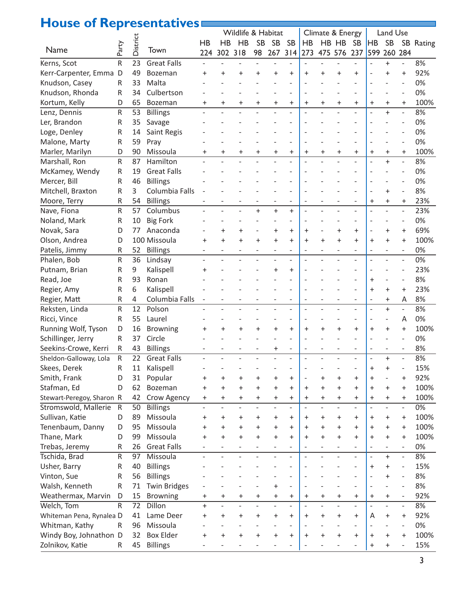### **House of Representatives**

| <b>THE READ OF THE PITT</b> |       |          | <u>Chitativ</u>     |                          |                | Wildlife & Habitat       |           |                          |                          |                | Climate & Energy |                          |                          |                          | Land Use                 |                              |           |
|-----------------------------|-------|----------|---------------------|--------------------------|----------------|--------------------------|-----------|--------------------------|--------------------------|----------------|------------------|--------------------------|--------------------------|--------------------------|--------------------------|------------------------------|-----------|
|                             |       |          |                     | HB                       | HB             | <b>HB</b>                | <b>SB</b> | <b>SB</b>                | <b>SB</b>                | HB             |                  | HB HB                    | <b>SB</b>                | <b>HB</b>                | <b>SB</b>                |                              | SB Rating |
| Name                        | Party | District | Town                | 224                      | 302 318        |                          | 98        |                          | 267 314                  | 273            |                  | 475 576                  | 237                      | 599                      | 260 284                  |                              |           |
| Kerns, Scot                 | R     | 23       | <b>Great Falls</b>  |                          |                |                          |           |                          |                          |                |                  |                          |                          |                          | $\ddot{}$                |                              | 8%        |
|                             |       |          |                     |                          |                |                          |           |                          |                          |                |                  |                          |                          |                          |                          |                              | 92%       |
| Kerr-Carpenter, Emma        | D     | 49       | Bozeman             | +                        | $\ddot{}$      | $\ddot{}$                | +         | $\pmb{+}$                | $\ddot{}$                | +              | $\ddot{}$        | $\ddot{}$                | $\ddot{}$                |                          | $\ddot{}$                | $\ddot{}$                    |           |
| Knudson, Casey              | R     | 33       | Malta               |                          |                |                          |           |                          |                          |                |                  |                          |                          |                          |                          |                              | 0%        |
| Knudson, Rhonda             | R     | 34       | Culbertson          |                          |                |                          |           |                          |                          |                |                  |                          |                          |                          |                          |                              | 0%        |
| Kortum, Kelly               | D     | 65       | Bozeman             | $\pmb{+}$                | $\pmb{+}$      | $\pmb{+}$                | $\ddot{}$ | $\ddot{}$                | $\ddot{}$                | $\ddot{}$      | $\ddot{}$        | $\ddot{}$                | $\ddot{}$                | $\ddot{}$                | $\ddot{}$                | $\ddot{}$                    | 100%      |
| Lenz, Dennis                | R     | 53       | <b>Billings</b>     |                          |                |                          |           |                          |                          |                |                  |                          |                          |                          | $\ddot{}$                |                              | 8%        |
| Ler, Brandon                | R     | 35       | Savage              |                          |                |                          |           |                          |                          |                |                  |                          |                          |                          |                          |                              | 0%        |
| Loge, Denley                | R     | 14       | Saint Regis         |                          |                |                          |           |                          |                          |                |                  |                          |                          |                          |                          |                              | 0%        |
| Malone, Marty               | R     | 59       | Pray                |                          |                |                          |           |                          |                          |                |                  |                          |                          |                          |                          |                              | 0%        |
| Marler, Marilyn             | D     | 90       | Missoula            | $\pmb{+}$                | $\ddot{}$      | $\ddot{}$                | $\ddot{}$ | $\pmb{+}$                | $\ddot{}$                | $\ddot{}$      | $\ddot{}$        | $\ddot{}$                | $\ddot{}$                | $\ddot{}$                | $\ddot{}$                | $\ddot{}$                    | 100%      |
| Marshall, Ron               | R     | 87       | Hamilton            |                          |                |                          |           |                          |                          |                |                  |                          |                          |                          | $\ddot{}$                | $\overline{\phantom{a}}$     | 8%        |
| McKamey, Wendy              | R     | 19       | <b>Great Falls</b>  |                          |                |                          |           |                          |                          |                |                  |                          |                          |                          |                          |                              | 0%        |
| Mercer, Bill                | R     | 46       | <b>Billings</b>     |                          |                |                          |           |                          |                          |                |                  |                          |                          |                          |                          |                              | 0%        |
| Mitchell, Braxton           | R     | 3        | Columbia Falls      |                          |                |                          |           |                          |                          |                |                  |                          |                          |                          | $\ddot{}$                |                              | 8%        |
| Moore, Terry                | R     | 54       | <b>Billings</b>     |                          |                |                          |           |                          |                          |                |                  |                          |                          | $\ddot{}$                | $\ddot{}$                | $\ddot{}$                    | 23%       |
| Nave, Fiona                 | R     | 57       | Columbus            |                          |                |                          | $+$       | $\ddot{}$                | $\ddot{}$                |                |                  |                          |                          |                          |                          |                              | 23%       |
| Noland, Mark                | R     | 10       | <b>Big Fork</b>     |                          |                |                          |           |                          |                          |                |                  |                          |                          |                          |                          |                              | 0%        |
| Novak, Sara                 | D     | 77       | Anaconda            |                          | $\ddot{}$      | $\ddot{}$                |           | $\pmb{+}$                | $\ddot{}$                | $\ddot{}$      |                  | $\ddot{}$                | $+$                      |                          | $\ddot{}$                | $\ddot{}$                    | 69%       |
| Olson, Andrea               | D     |          | 100 Missoula        | $\ddot{}$                | $\ddot{}$      | $\ddot{}$                | $\ddot{}$ | $\ddot{}$                | $\ddot{}$                | $\ddot{}$      | $\ddot{}$        | $\ddot{}$                | $+$                      | $\ddot{}$                | $\ddot{}$                | $\ddot{}$                    | 100%      |
| Patelis, Jimmy              | R     | 52       | <b>Billings</b>     |                          |                |                          |           | $\overline{a}$           |                          |                |                  |                          |                          |                          |                          |                              | 0%        |
| Phalen, Bob                 | R     | 36       | Lindsay             |                          |                |                          |           |                          |                          |                |                  |                          | $\overline{a}$           |                          |                          |                              | 0%        |
| Putnam, Brian               | R     | 9        | Kalispell           | +                        |                |                          |           | $\ddot{}$                | $\ddot{}$                |                |                  |                          |                          |                          |                          |                              | 23%       |
| Read, Joe                   | R     | 93       | Ronan               |                          |                |                          |           |                          |                          |                |                  |                          |                          | $\ddot{}$                |                          |                              | 8%        |
| Regier, Amy                 | R     | 6        | Kalispell           |                          |                |                          |           |                          |                          |                |                  |                          |                          | $\ddot{}$                | $\ddot{}$                | $\ddot{}$                    | 23%       |
| Regier, Matt                | R     | 4        | Columbia Falls      |                          |                |                          |           |                          |                          |                |                  |                          |                          | $\overline{a}$           | $\ddot{}$                | A                            | 8%        |
| Reksten, Linda              | R     | 12       | Polson              |                          |                |                          |           |                          |                          |                |                  |                          |                          | $\overline{a}$           | $\ddot{}$                | $\overline{a}$               | 8%        |
| Ricci, Vince                | R     | 55       | Laurel              |                          |                |                          |           |                          |                          |                |                  |                          |                          | ÷,                       |                          | A                            | 0%        |
| Running Wolf, Tyson         | D     | 16       | <b>Browning</b>     |                          | $\ddot{}$      | $\ddot{}$                | $\ddot{}$ | $\ddot{}$                | $\ddot{}$                | $\ddot{}$      | $\ddot{}$        | $\ddot{}$                | $+$                      | $\ddot{}$                | $\ddot{}$                | $\ddot{}$                    | 100%      |
| Schillinger, Jerry          | R     | 37       | Circle              |                          |                |                          |           |                          |                          |                |                  |                          |                          |                          |                          |                              | 0%        |
| Seekins-Crowe, Kerri        | R     | 43       | <b>Billings</b>     |                          |                |                          |           | $\pmb{+}$                |                          |                |                  |                          |                          |                          |                          |                              | 8%        |
| Sheldon-Galloway, Lola      | R     | 22       | <b>Great Falls</b>  |                          |                |                          |           |                          |                          |                |                  |                          |                          |                          | $\ddot{}$                |                              | 8%        |
| Skees, Derek                | R     | 11       | Kalispell           |                          |                |                          |           |                          |                          |                |                  |                          |                          | $\ddot{}$                | $\pmb{+}$                |                              | 15%       |
| Smith, Frank                | D     | 31       | Popular             | $\pmb{+}$                | $\pmb{+}$      | $\pmb{+}$                | $\pmb{+}$ | +                        | +                        | $\bar{}$       | $\ddot{}$        | $\pmb{+}$                | $\ddot{}$                | $\ddot{}$                |                          | $\ddot{}$                    | 92%       |
| Stafman, Ed                 | D     | 62       | Bozeman             | $\ddot{}$                | $\ddot{}$      | $\ddot{}$                | $\ddot{}$ | $\ddot{}$                | $\ddot{}$                | $\ddot{}$      | $\ddot{}$        | $\ddot{}$                | $\ddot{}$                | $\ddot{}$                | $\ddot{}$                | $\ddot{}$                    | 100%      |
| Stewart-Peregoy, Sharon R   |       | 42       | Crow Agency         | $\ddot{}$                | +              | $\ddot{}$                | $\pm$     | $\pmb{+}$                | $\ddot{}$                | $\ddot{}$      | $\pmb{+}$        | $\ddot{}$                | $\ddot{}$                | $\ddot{}$                | $\pmb{+}$                | $\ddot{}$                    | 100%      |
| Stromswold, Mallerie        | R     | 50       | <b>Billings</b>     | $\overline{\phantom{0}}$ | $\overline{a}$ | $\overline{\phantom{0}}$ |           | $\overline{\phantom{0}}$ | $\overline{a}$           | $\overline{a}$ |                  | $\overline{\phantom{a}}$ | $\overline{\phantom{a}}$ | $\overline{a}$           | $\overline{a}$           | $\overline{\phantom{a}}$     | 0%        |
| Sullivan, Katie             | D     | 89       | Missoula            | $\ddot{}$                | +              | $\pm$                    | $\ddot{}$ | +                        | +                        | $\ddot{}$      | $\ddot{}$        | $\ddot{}$                | $\ddot{}$                | $\ddot{}$                | +                        | $\ddot{}$                    | 100%      |
| Tenenbaum, Danny            | D     | 95       | Missoula            | $\pmb{+}$                | $\pmb{+}$      | $\ddot{}$                | $\ddot{}$ | $\ddot{}$                | $\ddot{}$                | $\ddot{}$      | $\ddot{}$        | $\ddot{}$                | $\ddot{}$                | $\ddot{}$                | $\ddot{}$                | $\ddot{}$                    | 100%      |
| Thane, Mark                 | D     | 99       | Missoula            | $\ddot{}$                | $\ddot{}$      | $\ddot{}$                | $\ddot{}$ | $\ddot{}$                | $\ddot{}$                | $\ddot{}$      | $\ddot{}$        | $\ddot{}$                | $+$                      | $\ddot{}$                | $\ddot{}$                | $\ddot{}$                    | 100%      |
| Trebas, Jeremy              | R     | 26       | <b>Great Falls</b>  |                          |                |                          |           | $\qquad \qquad -$        |                          |                |                  |                          |                          | $\overline{a}$           | $\overline{a}$           | $\qquad \qquad \blacksquare$ | 0%        |
| Tschida, Brad               | R     | 97       | Missoula            |                          |                |                          |           |                          |                          |                |                  |                          |                          | $\overline{\phantom{0}}$ | $\ddot{}$                | $\overline{\phantom{a}}$     | 8%        |
| Usher, Barry                | R     | 40       | <b>Billings</b>     |                          |                |                          |           |                          |                          |                |                  |                          |                          | $\ddot{}$                | $\ddot{}$                |                              | 15%       |
| Vinton, Sue                 |       | 56       |                     |                          |                |                          |           |                          |                          |                |                  |                          |                          | $\overline{a}$           | $\ddot{}$                | $\qquad \qquad -$            | 8%        |
|                             | R     |          | <b>Billings</b>     |                          |                |                          |           |                          | $\overline{a}$           |                |                  |                          | $\overline{a}$           |                          |                          |                              |           |
| Walsh, Kenneth              | R     | 71       | <b>Twin Bridges</b> |                          |                |                          |           | $\ddot{}$                |                          | $\overline{a}$ |                  |                          |                          | $\overline{\phantom{a}}$ |                          | $\overline{a}$               | 8%        |
| Weathermax, Marvin          | D     | 15       | <b>Browning</b>     | $\pmb{+}$                | $\ddot{}$      | $\pmb{+}$                | $\pmb{+}$ | $\pmb{+}$                | $\pmb{+}$                | $\ddot{}$      | $\pmb{+}$        | $\pmb{+}$                | $\ddot{}$                | $\ddot{}$                | $\pmb{+}$                | $\overline{\phantom{m}}$     | 92%       |
| Welch, Tom                  | R     | 72       | Dillon              | $\ddot{}$                | $\overline{a}$ | $\overline{\phantom{0}}$ |           | $\overline{a}$           | $\overline{\phantom{a}}$ | $\overline{a}$ |                  | $\overline{\phantom{a}}$ | $\overline{\phantom{0}}$ | $\overline{a}$           | $\overline{\phantom{0}}$ | $\overline{\phantom{a}}$     | 8%        |
| Whiteman Pena, Rynalea D    |       | 41       | Lame Deer           | $\ddot{}$                | +              | $\ddot{}$                | $\ddot{}$ | $\ddot{}$                | $\ddot{}$                | $\ddot{}$      | $\ddot{}$        | $\ddot{}$                | $\ddot{}$                | A                        | $\pm$                    | $\ddot{}$                    | 92%       |
| Whitman, Kathy              | R     | 96       | Missoula            |                          |                |                          |           |                          |                          |                |                  |                          |                          |                          |                          | $\overline{a}$               | 0%        |
| Windy Boy, Johnathon D      |       | 32       | <b>Box Elder</b>    |                          | $\ddot{}$      | $\ddot{}$                | $\ddot{}$ | $\ddot{}$                | $\ddot{}$                | $\ddot{}$      | $\ddot{}$        | $\overline{+}$           | $+$                      | $\ddot{}$                | $\ddot{}$                | $\ddot{}$                    | 100%      |
| Zolnikov, Katie             | R     | 45       | <b>Billings</b>     |                          |                |                          |           |                          |                          |                |                  |                          |                          | $\ddot{}$                | $\ddot{}$                |                              | 15%       |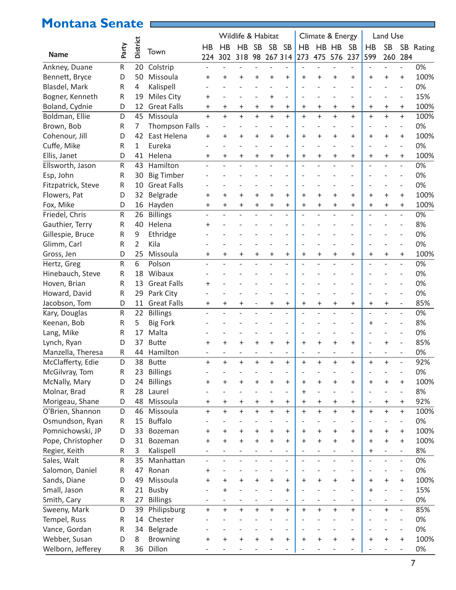### **Montana Senate**

|                    |           |                 |                                      | Wildlife & Habitat |                |           |           |           |                              |           | Climate & Energy |                          |                          | Land Use       |                |                                  |           |  |
|--------------------|-----------|-----------------|--------------------------------------|--------------------|----------------|-----------|-----------|-----------|------------------------------|-----------|------------------|--------------------------|--------------------------|----------------|----------------|----------------------------------|-----------|--|
|                    |           | <b>District</b> |                                      | HB                 | HB             | HB        | <b>SB</b> | <b>SB</b> | <b>SB</b>                    | HB        | HB               | HB                       | <b>SB</b>                | HB             | <b>SB</b>      |                                  | SB Rating |  |
| <b>Name</b>        | Party     |                 | Town                                 | 224                | 302            | 318       | 98        |           | 267 314                      | 273       | 475              | 576                      | 237                      | 599            | 260            | 284                              |           |  |
| Ankney, Duane      | ${\sf R}$ | 20              | Colstrip                             |                    |                |           |           |           |                              |           |                  |                          |                          |                |                |                                  | 0%        |  |
| Bennett, Bryce     | D         | 50              | Missoula                             | $\ddot{}$          | $\ddot{}$      | +         |           | $\ddot{}$ | $\ddot{}$                    | ÷         | $\ddot{}$        | $\,^+$                   | $\overline{+}$           | $\ddot{}$      | $\,^+$         | $\ddot{}$                        | 100%      |  |
| Blasdel, Mark      | R         | 4               | Kalispell                            |                    |                |           |           |           |                              |           |                  |                          |                          |                |                |                                  | 0%        |  |
| Bogner, Kenneth    | R         | 19              | <b>Miles City</b>                    | $\pmb{+}$          |                |           |           | $\ddot{}$ | $\overline{a}$               |           |                  |                          |                          |                |                | $\overline{\phantom{a}}$         | 15%       |  |
| Boland, Cydnie     | D         | 12              | <b>Great Falls</b>                   | +                  | $\ddot{}$      | $\ddot{}$ | +         | $\ddot{}$ | $\ddot{}$                    | $\ddot{}$ | $\ddot{}$        | $\ddot{}$                | $\ddot{}$                | $\ddot{}$      | $\ddot{}$      | $\ddot{}$                        | 100%      |  |
| Boldman, Ellie     | D         | 45              | Missoula                             | $+$                | $+$            | $\ddot{}$ | $\ddot{}$ | $\ddot{}$ | $\ddot{}$                    | $+$       | $\ddot{}$        | $\ddot{}$                | $+$                      | $+$            | $\ddot{}$      | $\ddot{}$                        | 100%      |  |
| Brown, Bob         | ${\sf R}$ | 7               |                                      |                    |                |           |           |           |                              |           |                  |                          |                          |                |                | $\qquad \qquad -$                | 0%        |  |
| Cohenour, Jill     | D         | 42              | <b>Thompson Falls</b><br>East Helena | $\ddot{}$          | $\ddot{}$      | $\pm$     |           | +         | $\ddot{}$                    | $\ddot{}$ | $\ddot{}$        | $\ddot{}$                | $\ddot{}$                | $\pm$          | $\pm$          | $\ddot{}$                        | 100%      |  |
| Cuffe, Mike        | ${\sf R}$ | 1               | Eureka                               |                    |                |           |           |           | $\overline{\phantom{0}}$     |           |                  |                          |                          |                |                | $\overline{\phantom{a}}$         | 0%        |  |
|                    | D         | 41              | Helena                               |                    |                |           |           |           |                              |           |                  |                          | $\ddot{}$                |                |                |                                  | 100%      |  |
| Ellis, Janet       |           |                 |                                      | $\ddot{}$          | $\ddot{}$      | $\ddot{}$ | $\ddot{}$ | $\ddot{}$ | $\ddot{}$                    | $\ddot{}$ | $\ddot{}$        | $\ddot{}$                |                          | $\ddot{}$      | $\ddot{}$      | $\ddot{}$                        |           |  |
| Ellsworth, Jason   | R         | 43              | Hamilton                             |                    |                |           |           |           | $\overline{a}$               |           |                  |                          |                          |                |                | $\overline{\phantom{a}}$         | 0%        |  |
| Esp, John          | R         | 30              | <b>Big Timber</b>                    |                    |                |           |           |           |                              |           |                  |                          |                          |                |                |                                  | 0%        |  |
| Fitzpatrick, Steve | R         | 10              | <b>Great Falls</b>                   |                    |                |           |           |           |                              |           |                  |                          |                          |                |                |                                  | 0%        |  |
| Flowers, Pat       | D         | 32              | Belgrade                             | $\ddot{}$          | $\ddot{}$      | $\ddot{}$ | $\ddot{}$ | $\ddot{}$ | $\ddot{}$                    | $\ddot{}$ | $\ddot{}$        | $\ddot{}$                | $\ddot{}$                | $\ddot{}$      | $\ddot{}$      | $\ddot{}$                        | 100%      |  |
| Fox, Mike          | D         | 16              | Hayden                               | +                  | $\ddot{}$      | $\ddot{}$ | +         | $\ddot{}$ | $\ddot{}$                    | $\ddot{}$ | $\ddot{}$        | $\ddot{}$                | $\ddot{}$                | $\ddot{}$      | $\ddot{}$      | $\ddot{}$                        | 100%      |  |
| Friedel, Chris     | ${\sf R}$ | 26              | <b>Billings</b>                      |                    | $\overline{a}$ |           |           |           | $\qquad \qquad -$            |           |                  |                          |                          |                |                | $\overline{\phantom{a}}$         | 0%        |  |
| Gauthier, Terry    | ${\sf R}$ | 40              | Helena                               | $\pmb{+}$          |                |           |           |           |                              |           |                  |                          |                          |                |                |                                  | 8%        |  |
| Gillespie, Bruce   | R         | 9               | Ethridge                             |                    |                |           |           |           |                              |           |                  |                          |                          |                |                |                                  | 0%        |  |
| Glimm, Carl        | R         | $\overline{2}$  | Kila                                 |                    |                |           |           |           | $\overline{\phantom{0}}$     |           |                  |                          |                          |                |                |                                  | 0%        |  |
| Gross, Jen         | D         | 25              | Missoula                             | $\pmb{+}$          | $\ddot{}$      | $\ddot{}$ | $\ddot{}$ | $\ddot{}$ | $\ddot{}$                    | $\ddot{}$ | $\ddot{}$        | $\ddot{}$                | $\ddot{}$                | $\ddot{}$      | $\ddot{}$      | $\ddot{}$                        | 100%      |  |
| Hertz, Greg        | ${\sf R}$ | 6               | Polson                               |                    |                |           |           |           | $\overline{a}$               |           |                  |                          |                          |                |                | $\overline{\phantom{a}}$         | 0%        |  |
| Hinebauch, Steve   | R         | 18              | Wibaux                               |                    |                |           |           |           |                              |           |                  |                          |                          |                |                |                                  | 0%        |  |
| Hoven, Brian       | R         | 13              | <b>Great Falls</b>                   | $\pmb{+}$          |                |           |           |           |                              |           |                  |                          |                          |                |                |                                  | 0%        |  |
| Howard, David      | R         | 29              | Park City                            |                    |                |           |           |           | $\overline{a}$               |           |                  |                          |                          |                |                |                                  | 0%        |  |
| Jacobson, Tom      | D         | 11              | <b>Great Falls</b>                   | +                  | $\ddot{}$      | $\ddot{}$ |           | $\ddot{}$ | $\ddot{}$                    | $\ddot{}$ | $\ddot{}$        | $\ddot{}$                | $\ddot{}$                | $\ddot{}$      | $\ddot{}$      | $\qquad \qquad -$                | 85%       |  |
| Kary, Douglas      | ${\sf R}$ | 22              | <b>Billings</b>                      |                    |                |           |           |           | $\qquad \qquad -$            |           |                  | $\overline{a}$           | $\overline{\phantom{0}}$ | $\overline{a}$ | $\overline{a}$ | $\overline{\phantom{a}}$         | 0%        |  |
| Keenan, Bob        | R         | 5               | <b>Big Fork</b>                      |                    |                |           |           |           |                              |           |                  |                          |                          | $\ddot{}$      |                |                                  | 8%        |  |
| Lang, Mike         | R         | 17              | Malta                                |                    |                |           |           |           | $\overline{\phantom{0}}$     |           |                  |                          |                          |                |                |                                  | 0%        |  |
| Lynch, Ryan        | D         | 37              | <b>Butte</b>                         | $\ddot{}$          | +              | $\pm$     |           | $\ddot{}$ | $\ddot{}$                    | $\ddot{}$ | $\ddot{}$        | $\ddot{}$                | $\ddot{}$                |                | $\ddot{}$      |                                  | 85%       |  |
| Manzella, Theresa  | R         |                 | 44 Hamilton                          |                    |                |           |           |           |                              |           |                  |                          |                          |                |                |                                  | 0%        |  |
| McClafferty, Edie  | D         |                 | 38 Butte                             | +                  |                | +         |           | +         | +                            | +         | +                | +                        | +                        | +              | +              |                                  | 92%       |  |
| McGilvray, Tom     | R         | 23              | <b>Billings</b>                      |                    |                |           |           |           | $\overline{a}$               |           |                  |                          |                          |                |                | Ĭ.                               | 0%        |  |
| McNally, Mary      | D         | 24              | <b>Billings</b>                      | $\ddot{}$          | $\ddot{}$      | $\ddot{}$ | $\ddot{}$ | $\ddot{}$ | $\ddot{}$                    | $\ddot{}$ | $\ddot{}$        | $\ddot{}$                | $\ddot{}$                | $\ddot{}$      | +              | $\ddot{}$                        | 100%      |  |
| Molnar, Brad       | ${\sf R}$ | 28              | Laurel                               |                    |                |           |           |           | $\overline{\phantom{0}}$     | $\ddot{}$ |                  | $\overline{\phantom{0}}$ | $\overline{\phantom{a}}$ |                |                | $\overline{\phantom{a}}$         | 8%        |  |
| Morigeau, Shane    | D         | 48              | Missoula                             | $\ddot{}$          | $\ddot{}$      | $\pmb{+}$ | $\ddot{}$ | $\ddot{}$ | $\ddot{}$                    | $\ddot{}$ | $\ddot{}$        | $\ddot{}$                | $\ddot{}$                |                | $\ddot{}$      | $\ddot{}$                        | 92%       |  |
| O'Brien, Shannon   | D         | 46              | Missoula                             | $+$                | $+$            | $\ddot{}$ | $+$       | $\ddot{}$ | $\ddot{}$                    | $+$       | $\ddot{}$        | $+$                      | $+$                      | $+$            | $\ddot{}$      | $\begin{array}{c} + \end{array}$ | 100%      |  |
| Osmundson, Ryan    | ${\sf R}$ | 15              | <b>Buffalo</b>                       |                    |                |           |           |           | $\overline{a}$               |           |                  |                          |                          |                |                | $\qquad \qquad -$                | 0%        |  |
| Pomnichowski, JP   | D         | 33              | Bozeman                              | $\pmb{+}$          | $\ddot{}$      | +         | $\ddot{}$ | +         | $\ddot{}$                    | $\ddot{}$ | $\ddot{}$        | +                        | $\ddot{}$                | $\ddot{}$      | +              | $\ddot{}$                        | 100%      |  |
| Pope, Christopher  | D         | 31              | Bozeman                              | $\ddot{}$          | $\ddot{}$      | $\ddot{}$ | $\ddot{}$ | $\ddot{}$ | $\ddot{}$                    | $\ddot{}$ | $\ddot{}$        | $\ddot{}$                | $\ddot{}$                | $\ddot{}$      | $\ddot{}$      | $\ddot{}$                        | 100%      |  |
| Regier, Keith      | R         | 3               | Kalispell                            |                    |                |           |           |           |                              |           |                  |                          |                          | $\ddot{}$      |                | $\overline{\phantom{a}}$         | 8%        |  |
| Sales, Walt        | ${\sf R}$ | 35              | Manhattan                            |                    |                |           |           |           | $\overline{a}$               |           |                  | $\overline{a}$           | $\overline{\phantom{0}}$ |                |                | $\overline{\phantom{a}}$         | 0%        |  |
| Salomon, Daniel    | ${\sf R}$ | 47              | Ronan                                | $\pmb{+}$          |                |           |           |           | $\overline{a}$               |           |                  |                          |                          |                |                | $\overline{\phantom{a}}$         | 0%        |  |
| Sands, Diane       | D         | 49              | Missoula                             | $\ddot{}$          | $\ddot{}$      | $\ddot{}$ | $\ddot{}$ | $\ddot{}$ | $\ddot{}$                    | $\ddot{}$ | $\ddot{}$        | $\ddot{}$                | $\ddot{}$                | $\ddot{}$      | $\pm$          | $\ddot{}$                        | 100%      |  |
| Small, Jason       | ${\sf R}$ | 21              | Busby                                |                    | $\ddot{}$      |           |           |           | $\ddot{}$                    |           |                  |                          |                          | $\ddot{}$      |                | $\overline{\phantom{a}}$         | 15%       |  |
| Smith, Cary        | ${\sf R}$ | 27              | <b>Billings</b>                      |                    |                |           |           |           |                              |           |                  |                          |                          |                |                | $\overline{\phantom{a}}$         | 0%        |  |
| Sweeny, Mark       | D         | 39              | Philipsburg                          | $\ddot{}$          | $+$            | $\ddot{}$ | $\ddot{}$ | $\ddot{}$ | $\ddot{}$                    | $+$       | $\ddot{}$        | $\ddot{}$                | $+$                      |                | $\ddot{}$      | $\overline{\phantom{a}}$         | 85%       |  |
| Tempel, Russ       | ${\sf R}$ | 14              | Chester                              |                    |                |           |           |           |                              |           |                  |                          |                          |                |                | $\overline{a}$                   | 0%        |  |
| Vance, Gordan      | R         | 34              | Belgrade                             |                    |                |           |           |           | $\qquad \qquad \blacksquare$ |           |                  |                          |                          |                |                | $\overline{a}$                   | 0%        |  |
| Webber, Susan      | D         | 8               |                                      |                    |                |           |           |           |                              |           |                  |                          |                          |                |                |                                  | 100%      |  |
|                    |           |                 | <b>Browning</b>                      | $\pmb{+}$          | $\ddot{}$      | $\ddot{}$ | $\ddot{}$ | $\ddot{}$ | $\ddot{}$                    | $\ddot{}$ | $\ddot{}$        | $\ddot{}$                | $\ddot{}$                | $\ddot{}$      | $\ddot{}$      | $\ddot{}$                        |           |  |
| Welborn, Jefferey  | R         | 36              | Dillon                               |                    |                |           |           |           |                              |           |                  |                          |                          |                |                |                                  | 0%        |  |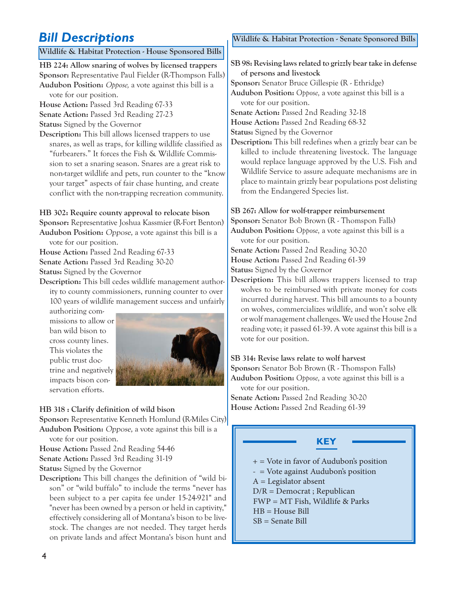#### **Wildlife & Habitat Protection - House Sponsored Bills**

**HB 224: Allow snaring of wolves by licensed trappers Sponsor:** Representative Paul Fielder (R-Thompson Falls) **Audubon Position:** *Oppose,* a vote against this bill is a vote for our position.

**House Action:** Passed 3rd Reading 67-33 **Senate Action:** Passed 3rd Reading 27-23

**Status:** Signed by the Governor

**Description:** This bill allows licensed trappers to use snares, as well as traps, for killing wildlife classified as "furbearers." It forces the Fish & Wildlife Commission to set a snaring season. Snares are a great risk to non-target wildlife and pets, run counter to the "know your target" aspects of fair chase hunting, and create conflict with the non-trapping recreation community.

**HB 302: Require county approval to relocate bison Sponsor:** Representative Joshua Kassmier (R-Fort Benton) **Audubon Position:** Oppose, a vote against this bill is a

vote for our position.

**House Action:** Passed 2nd Reading 67-33

**Senate Action:** Passed 3rd Reading 30-20

**Status:** Signed by the Governor

**Description:** This bill cedes wildlife management authority to county commissioners, running counter to over 100 years of wildlife management success and unfairly

authorizing commissions to allow or ban wild bison to cross county lines. This violates the public trust doctrine and negatively impacts bison conservation efforts.



#### **HB 318 : Clarify definition of wild bison**

**Sponsor:** Representative Kenneth Homlund (R-Miles City) **Audubon Position:** Oppose, a vote against this bill is a

vote for our position.

**House Action:** Passed 2nd Reading 54-46

**Senate Action:** Passed 3rd Reading 31-19

**Status:** Signed by the Governor

**Description:** This bill changes the definition of "wild bison" or "wild buffalo" to include the terms "never has been subject to a per capita fee under 15-24-921" and "never has been owned by a person or held in captivity," effectively considering all of Montana's bison to be livestock. The changes are not needed. They target herds on private lands and affect Montana's bison hunt and

**Bill Descriptions Wildlife & Habitat Protection - Senate Sponsored Bills** 

**SB 98: Revising laws related to grizzly bear take in defense of persons and livestock**

**Sponsor:** Senator Bruce Gillespie (R - Ethridge) **Audubon Position:** *Oppose,* a vote against this bill is a vote for our position.

**Senate Action:** Passed 2nd Reading 32-18

**House Action:** Passed 2nd Reading 68-32

**Status:** Signed by the Governor

**Description:** This bill redefines when a grizzly bear can be killed to include threatening livestock. The language would replace language approved by the U.S. Fish and Wildlife Service to assure adequate mechanisms are in place to maintain grizzly bear populations post delisting from the Endangered Species list.

#### **SB 267: Allow for wolf-trapper reimbursement**

**Sponsor:** Senator Bob Brown (R - Thomspon Falls)

**Audubon Position:** *Oppose,* a vote against this bill is a vote for our position.

**Senate Action:** Passed 2nd Reading 30-20

**House Action:** Passed 2nd Reading 61-39

**Status:** Signed by the Governor

**Description:** This bill allows trappers licensed to trap wolves to be reimbursed with private money for costs incurred during harvest. This bill amounts to a bounty on wolves, commercializes wildlife, and won't solve elk or wolf management challenges. We used the House 2nd reading vote; it passed 61-39. A vote against this bill is a vote for our position.

**SB 314: Revise laws relate to wolf harvest Sponsor:** Senator Bob Brown (R - Thomspon Falls) **Audubon Position:** *Oppose,* a vote against this bill is a vote for our position. **Senate Action:** Passed 2nd Reading 30-20

**House Action:** Passed 2nd Reading 61-39

#### **KEY**

 $+$  = Vote in favor of Audubon's position

- = Vote against Audubon's position

 $A =$ Legislator absent

D/R = Democrat ; Republican

FWP = MT Fish, Wildlife & Parks

HB = House Bill

I

SB = Senate Bill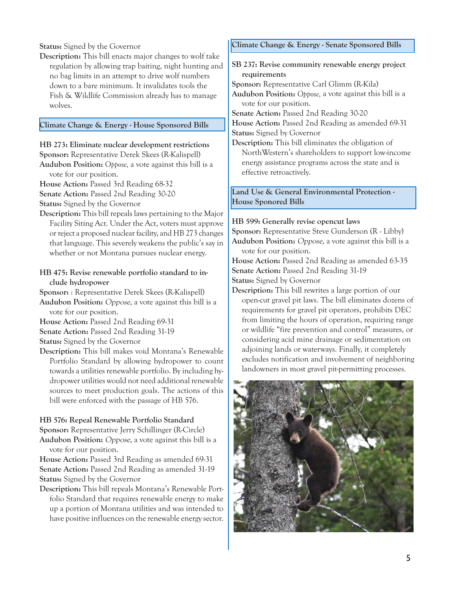**Status:** Signed by the Governor

**Description:** This bill enacts major changes to wolf take regulation by allowing trap baiting, night hunting and no bag limits in an attempt to drive wolf numbers down to a bare minimum. It invalidates tools the Fish & Wildlife Commission already has to manage wolves.

#### **Climate Change & Energy - House Sponsored Bills**

#### **HB 273: Eliminate nuclear development restrictions**

- **Sponsor:** Representative Derek Skees (R-Kalispell)
- **Audubon Position:** *Oppose,* a vote against this bill is a vote for our position.
- **House Action:** Passed 3rd Reading 68-32
- **Senate Action:** Passed 2nd Reading 30-20
- **Status:** Signed by the Governor
- **Description:** This bill repeals laws pertaining to the Major Facility Siting Act. Under the Act, voters must approve or reject a proposed nuclear facility, and HB 273 changes that language. This severely weakens the public's say in whether or not Montana pursues nuclear energy.

#### **HB 475: Revise renewable portfolio standard to include hydropower**

**Sponsor:** : Representative Derek Skees (R-Kalispell)

**Audubon Position:** Oppose, a vote against this bill is a vote for our position.

**House Action:** Passed 2nd Reading 69-31

**Senate Action:** Passed 2nd Reading 31-19

- **Status:** Signed by the Governor
- **Description:** This bill makes void Montana's Renewable Portfolio Standard by allowing hydropower to count towards a utilities renewable portfolio. By including hydropower utilities would not need additional renewable sources to meet production goals. The actions of this bill were enforced with the passage of HB 576.

#### **HB 576: Repeal Renewable Portfolio Standard**

**Sponsor:** Representative Jerry Schillinger (R-Circle) **Audubon Position:** Oppose, a vote against this bill is a vote for our position.

**House Action:** Passed 3rd Reading as amended 69-31 **Senate Action:** Passed 2nd Reading as amended 31-19 **Status:** Signed by the Governor

**Description:** This bill repeals Montana's Renewable Portfolio Standard that requires renewable energy to make up a portion of Montana utilities and was intended to have positive influences on the renewable energy sector.

#### **Climate Change & Energy - Senate Sponsored Bills**

#### **SB 237: Revise community renewable energy project requirements**

**Sponsor:** Representative Carl Glimm (R-Kila) **Audubon Position:** *Oppose,* a vote against this bill is a vote for our position.

**Senate Action:** Passed 2nd Reading 30-20 **House Action:** Passed 2nd Reading as amended 69-31

**Status:** Signed by Governor

**Description:** This bill eliminates the obligation of NorthWestern's shareholders to support low-income energy assistance programs across the state and is effective retroactively.

#### **Land Use & General Environmental Protection - House Sponored Bills**

#### **HB 599: Generally revise opencut laws**

**Sponsor:** Representative Steve Gunderson (R - Libby) **Audubon Position:** Oppose, a vote against this bill is a vote for our position.

**House Action:** Passed 2nd Reading as amended 63-35 **Senate Action:** Passed 2nd Reading 31-19 **Status:** Signed by Governor

**Description:** This bill rewrites a large portion of our open-cut gravel pit laws. The bill eliminates dozens of requirements for gravel pit operators, prohibits DEC from limiting the hours of operation, requiring range or wildlife "fire prevention and control" measures, or considering acid mine drainage or sedimentation on adjoining lands or waterways. Finally, it completely excludes notification and involvement of neighboring